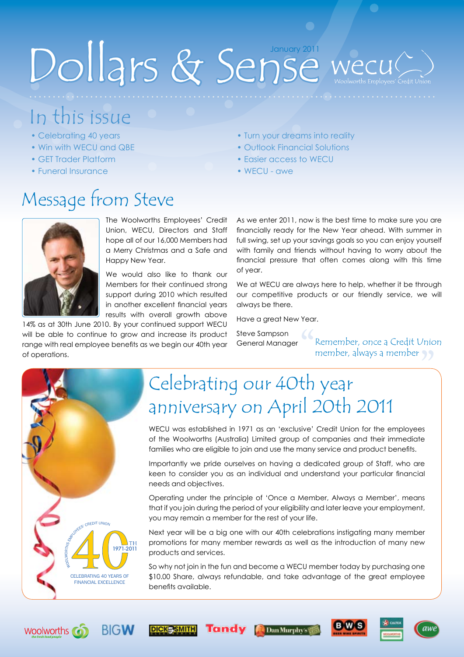# Dollars & Sense

# In this issue

- Celebrating 40 years
- Win with WECU and QBE
- GET Trader Platform
- Funeral Insurance

# Message from Steve



The Woolworths Employees' Credit Union, WECU, Directors and Staff hope all of our 16,000 Members had a Merry Christmas and a Safe and Happy New Year.

We would also like to thank our Members for their continued strong support during 2010 which resulted in another excellent financial years results with overall growth above

14% as at 30th June 2010. By your continued support WECU will be able to continue to grow and increase its product range with real employee benefits as we begin our 40th year of operations.

**BIGW** 

**DICK-SMITH** 

**Tandy** 

### • Turn your dreams into reality

- Outlook Financial Solutions
- Easier access to WECU
- WECU awe

As we enter 2011, now is the best time to make sure you are financially ready for the New Year ahead. With summer in full swing, set up your savings goals so you can enjoy yourself with family and friends without having to worry about the financial pressure that often comes along with this time of year.

We at WECU are always here to help, whether it be through our competitive products or our friendly service, we will always be there.

Have a great New Year.

Steve Sampson General Manager

 $\frac{1}{\sqrt{2}}$ Remember, once a Credit Union member, always a member



**Woolworths** 

# " Celebrating our 40th year anniversary on April 20th 2011

WECU was established in 1971 as an 'exclusive' Credit Union for the employees of the Woolworths (Australia) Limited group of companies and their immediate families who are eligible to join and use the many service and product benefits.

Importantly we pride ourselves on having a dedicated group of Staff, who are keen to consider you as an individual and understand your particular financial needs and objectives.

Operating under the principle of 'Once a Member, Always a Member', means that if you join during the period of your eligibility and later leave your employment, you may remain a member for the rest of your life.

Next year will be a big one with our 40th celebrations instigating many member promotions for many member rewards as well as the introduction of many new products and services.

So why not join in the fun and become a WECU member today by purchasing one \$10.00 Share, always refundable, and take advantage of the great employee benefits available.





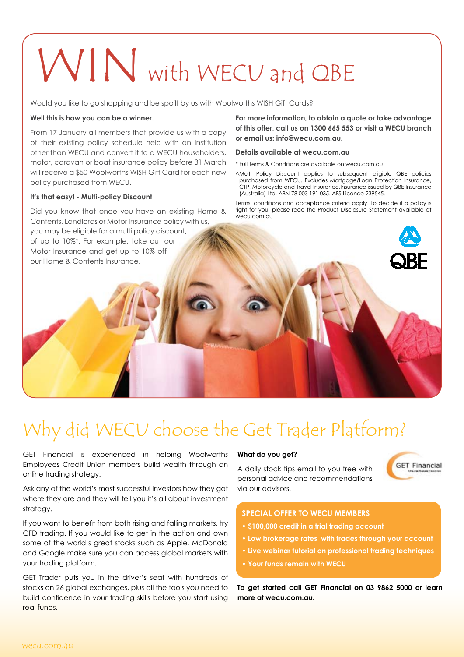# WIN with WECU and QBE

Would you like to go shopping and be spoilt by us with Woolworths WISH Gift Cards?

#### **Well this is how you can be a winner.**

From 17 January all members that provide us with a copy of their existing policy schedule held with an institution other than WECU and convert it to a WECU householders, motor, caravan or boat insurance policy before 31 March will receive a \$50 Woolworths WISH Gift Card for each new policy purchased from WECU.

#### **It's that easy! - Multi-policy Discount**

Did you know that once you have an existing Home & Contents, Landlords or Motor Insurance policy with us, you may be eligible for a multi policy discount, of up to 10%^. For example, take out our Motor Insurance and get up to 10% off our Home & Contents Insurance.

**For more information, to obtain a quote or take advantage of this offer, call us on 1300 665 553 or visit a WECU branch or email us: info@wecu.com.au.** 

#### **Details available at wecu.com.au**

\* Full Terms & Conditions are available on wecu.com.au

^Multi Policy Discount applies to subsequent eligible QBE policies purchased from WECU. Excludes Mortgage/Loan Protection Insurance, CTP, Motorcycle and Travel Insurance.Insurance issued by QBE Insurance (Australia) Ltd. ABN 78 003 191 035. AFS Licence 239545.

Terms, conditions and acceptance criteria apply. To decide if a policy is right for you, please read the Product Disclosure Statement available at wecu.com.au



## Why did WECU choose the Get Trader Platform?

GET Financial is experienced in helping Woolworths Employees Credit Union members build wealth through an online trading strategy.

Ask any of the world's most successful investors how they got where they are and they will tell you it's all about investment strategy.

If you want to benefit from both rising and falling markets, try CFD trading. If you would like to get in the action and own some of the world's great stocks such as Apple, McDonald and Google make sure you can access global markets with your trading platform.

GET Trader puts you in the driver's seat with hundreds of stocks on 26 global exchanges, plus all the tools you need to build confidence in your trading skills before you start using real funds.

#### **What do you get?**

A daily stock tips email to you free with personal advice and recommendations via our advisors.



### **SPECIAL OFFER TO WECU MEMBERS**

- **\$100,000 credit in a trial trading account**
- **Low brokerage rates with trades through your account**
- **Live webinar tutorial on professional trading techniques**
- **Your funds remain with WECU**

**To get started call GET Financial on 03 9862 5000 or learn more at wecu.com.au.**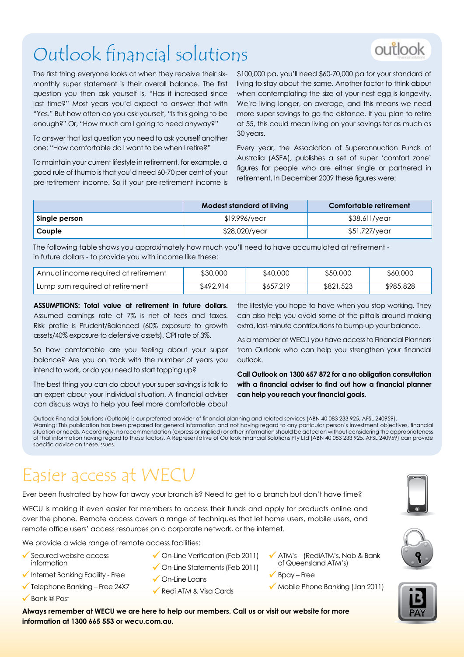# Outlook financial solutions

The first thing everyone looks at when they receive their sixmonthly super statement is their overall balance. The first question you then ask yourself is, "Has it increased since last time?" Most years you'd expect to answer that with "Yes." But how often do you ask yourself, "Is this going to be enough?" Or, "How much am I going to need anyway?"

To answer that last question you need to ask yourself another one: "How comfortable do I want to be when I retire?"

To maintain your current lifestyle in retirement, for example, a good rule of thumb is that you'd need 60-70 per cent of your pre-retirement income. So if your pre-retirement income is \$100,000 pa, you'll need \$60-70,000 pa for your standard of living to stay about the same. Another factor to think about when contemplating the size of your nest egg is longevity. We're living longer, on average, and this means we need more super savings to go the distance. If you plan to retire at 55, this could mean living on your savings for as much as 30 years.

Every year, the Association of Superannuation Funds of Australia (ASFA), publishes a set of super 'comfort zone' figures for people who are either single or partnered in retirement. In December 2009 these figures were:

|               | Modest standard of living | Comfortable retirement |
|---------------|---------------------------|------------------------|
| Single person | \$19,996/year             | \$38,611/year          |
| Couple        | \$28,020/year             | \$51,727/year          |

The following table shows you approximately how much you'll need to have accumulated at retirement in future dollars - to provide you with income like these:

| Annual income required at retirement | \$30,000  | \$40,000  | \$50,000  | \$60,000  |
|--------------------------------------|-----------|-----------|-----------|-----------|
| Lump sum required at retirement      | \$492.914 | \$657,219 | \$821,523 | \$985,828 |

**ASSUMPTIONS: Total value at retirement in future dollars.**  Assumed earnings rate of 7% is net of fees and taxes. Risk profile is Prudent/Balanced (60% exposure to growth assets/40% exposure to defensive assets). CPI rate of 3%.

So how comfortable are you feeling about your super balance? Are you on track with the number of years you intend to work, or do you need to start topping up?

The best thing you can do about your super savings is talk to an expert about your individual situation. A financial adviser can discuss ways to help you feel more comfortable about

the lifestyle you hope to have when you stop working. They can also help you avoid some of the pitfalls around making extra, last-minute contributions to bump up your balance.

As a member of WECU you have access to Financial Planners from Outlook who can help you strengthen your financial outlook.

**Call Outlook on 1300 657 872 for a no obligation consultation with a financial adviser to find out how a financial planner can help you reach your financial goals.** 

Outlook Financial Solutions (Outlook) is our preferred provider of financial planning and related services (ABN 40 083 233 925, AFSL 240959). Warning: This publication has been prepared for general information and not having regard to any particular person's investment objectives, financial situation or needs. Accordingly, no recommendation (express or implied) or other information should be acted on without considering the appropriateness of that information having regard to those factors. A Representative of Outlook Financial Solutions Pty Ltd (ABN 40 083 233 925, AFSL 240959) can provide specific advice on these issues.

### Easier access at WECU

Ever been frustrated by how far away your branch is? Need to get to a branch but don't have time?

WECU is making it even easier for members to access their funds and apply for products online and over the phone. Remote access covers a range of techniques that let home users, mobile users, and remote office users' access resources on a corporate network, or the internet.

We provide a wide range of remote access facilities:

**information at 1300 665 553 or wecu.com.au.** 

- Secured website access information
- $\sqrt{}$  Internet Banking Facility Free
- $\checkmark$  Telephone Banking Free 24X7
- $\checkmark$  Bank @ Post
- ◆ On-Line Verification (Feb 2011) ◆ On-Line Statements (Feb 2011)
- **✓** On-Line Loans

**Always remember at WECU we are here to help our members. Call us or visit our website for more** 

- Redi ATM & Visa Cards
- $\checkmark$  ATM's (RediATM's, Nab & Bank) of Queensland Atm's)
- $\sqrt{\frac{B}{D}}$  Bpay Free
- Mobile Phone Banking (Jan 2011)







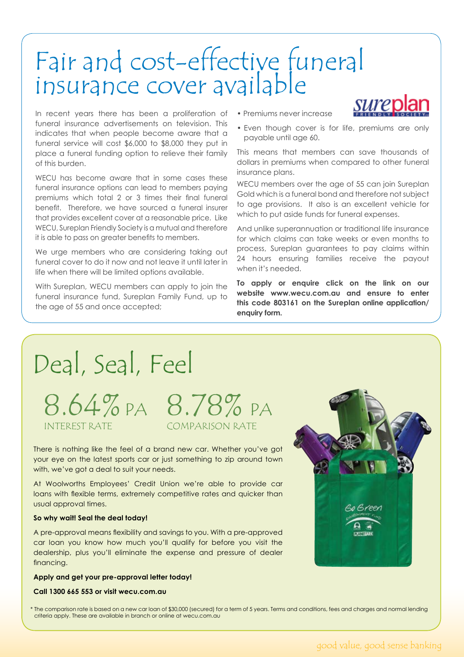# Fair and cost-effective funeral insurance cover available

In recent years there has been a proliferation of funeral insurance advertisements on television. This indicates that when people become aware that a funeral service will cost \$6,000 to \$8,000 they put in place a funeral funding option to relieve their family of this burden.

WECU has become aware that in some cases these funeral insurance options can lead to members paying premiums which total 2 or 3 times their final funeral benefit. Therefore, we have sourced a funeral insurer that provides excellent cover at a reasonable price. Like WECU, Sureplan Friendly Society is a mutual and therefore it is able to pass on greater benefits to members.

We urge members who are considering taking out funeral cover to do it now and not leave it until later in life when there will be limited options available.

With Sureplan, WECU members can apply to join the funeral insurance fund, Sureplan Family Fund, up to the age of 55 and once accepted;

• Premiums never increase



• Even though cover is for life, premiums are only payable until age 60.

This means that members can save thousands of dollars in premiums when compared to other funeral insurance plans.

WECU members over the age of 55 can join Sureplan Gold which is a funeral bond and therefore not subject to age provisions. It also is an excellent vehicle for which to put aside funds for funeral expenses.

And unlike superannuation or traditional life insurance for which claims can take weeks or even months to process, Sureplan guarantees to pay claims within 24 hours ensuring families receive the payout when it's needed.

**To apply or enquire click on the link on our website www.wecu.com.au and ensure to enter this code 803161 on the Sureplan online application/ enquiry form.**

# Deal, Seal, Feel

8.64%PA 8.78% P Comparison Rate

There is nothing like the feel of a brand new car. Whether you've got your eye on the latest sports car or just something to zip around town with, we've got a deal to suit your needs.

At Woolworths Employees' Credit Union we're able to provide car loans with flexible terms, extremely competitive rates and quicker than usual approval times.

### **So why wait! Seal the deal today!**

Interest Rate

A pre-approval means flexibility and savings to you. With a pre-approved car loan you know how much you'll qualify for before you visit the dealership, plus you'll eliminate the expense and pressure of dealer financing.

### **Apply and get your pre-approval letter today!**

### **Call 1300 665 553 or visit wecu.com.au**



\* The comparison rate is based on a new car loan of \$30,000 (secured) for a term of 5 years. Terms and conditions, fees and charges and normal lending criteria apply. These are available in branch or online at wecu.com.au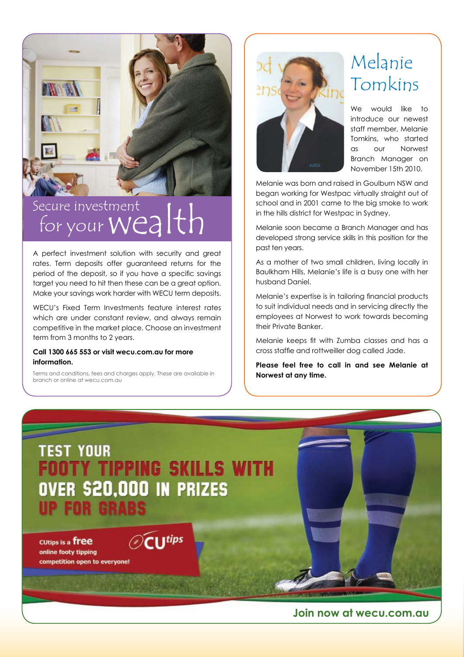

### Secure investment for your Wealth

A perfect investment solution with security and great rates. Term deposits offer guaranteed returns for the period of the deposit, so if you have a specific savings target you need to hit then these can be a great option. Make your savings work harder with WECU term deposits.

WECU's Fixed Term Investments feature interest rates which are under constant review, and always remain competitive in the market place. Choose an investment term from 3 months to 2 years.

### **Call 1300 665 553 or visit wecu.com.au for more information.**

Terms and conditions, fees and charges apply. These are available in branch or online at wecu.com.au



### Melanie Tomkins

We would like to introduce our newest staff member, Melanie Tomkins, who started as our Norwest Branch Manager on November 15th 2010.

Melanie was born and raised in Goulburn NSW and began working for Westpac virtually straight out of school and in 2001 came to the big smoke to work in the hills district for Westpac in Sydney.

Melanie soon became a Branch Manager and has developed strong service skills in this position for the past ten years.

As a mother of two small children, living locally in Baulkham Hills, Melanie's life is a busy one with her husband Daniel.

Melanie's expertise is in tailoring financial products to suit individual needs and in servicing directly the employees at Norwest to work towards becoming their Private Banker.

Melanie keeps fit with Zumba classes and has a cross staffie and rottweiller dog called Jade.

**Please feel free to call in and see Melanie at Norwest at any time.**



**Join now at wecu.com.au**